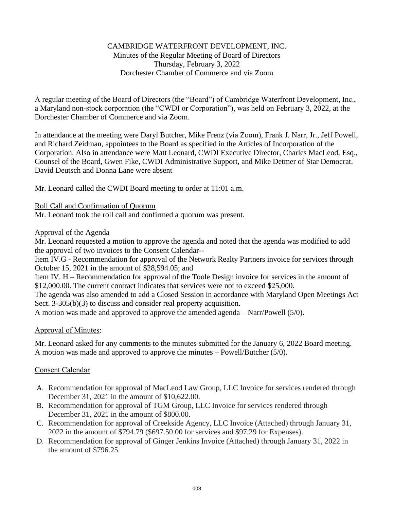## CAMBRIDGE WATERFRONT DEVELOPMENT, INC. Minutes of the Regular Meeting of Board of Directors Thursday, February 3, 2022 Dorchester Chamber of Commerce and via Zoom

A regular meeting of the Board of Directors (the "Board") of Cambridge Waterfront Development, Inc., a Maryland non-stock corporation (the "CWDI or Corporation"), was held on February 3, 2022, at the Dorchester Chamber of Commerce and via Zoom.

In attendance at the meeting were Daryl Butcher, Mike Frenz (via Zoom), Frank J. Narr, Jr., Jeff Powell, and Richard Zeidman, appointees to the Board as specified in the Articles of Incorporation of the Corporation. Also in attendance were Matt Leonard, CWDI Executive Director, Charles MacLeod, Esq., Counsel of the Board, Gwen Fike, CWDI Administrative Support, and Mike Detmer of Star Democrat. David Deutsch and Donna Lane were absent

Mr. Leonard called the CWDI Board meeting to order at 11:01 a.m.

Roll Call and Confirmation of Quorum

Mr. Leonard took the roll call and confirmed a quorum was present.

# Approval of the Agenda

Mr. Leonard requested a motion to approve the agenda and noted that the agenda was modified to add the approval of two invoices to the Consent Calendar--

Item IV.G - Recommendation for approval of the Network Realty Partners invoice for services through October 15, 2021 in the amount of \$28,594.05; and

Item IV. H – Recommendation for approval of the Toole Design invoice for services in the amount of \$12,000.00. The current contract indicates that services were not to exceed \$25,000.

The agenda was also amended to add a Closed Session in accordance with Maryland Open Meetings Act Sect. 3-305(b)(3) to discuss and consider real property acquisition.

A motion was made and approved to approve the amended agenda – Narr/Powell (5/0).

# Approval of Minutes:

Mr. Leonard asked for any comments to the minutes submitted for the January 6, 2022 Board meeting. A motion was made and approved to approve the minutes – Powell/Butcher (5/0).

# Consent Calendar

- A. Recommendation for approval of MacLeod Law Group, LLC Invoice for services rendered through December 31, 2021 in the amount of \$10,622.00.
- B. Recommendation for approval of TGM Group, LLC Invoice for services rendered through December 31, 2021 in the amount of \$800.00.
- C. Recommendation for approval of Creekside Agency, LLC Invoice (Attached) through January 31, 2022 in the amount of \$794.79 (\$697.50.00 for services and \$97.29 for Expenses).
- D. Recommendation for approval of Ginger Jenkins Invoice (Attached) through January 31, 2022 in the amount of \$796.25.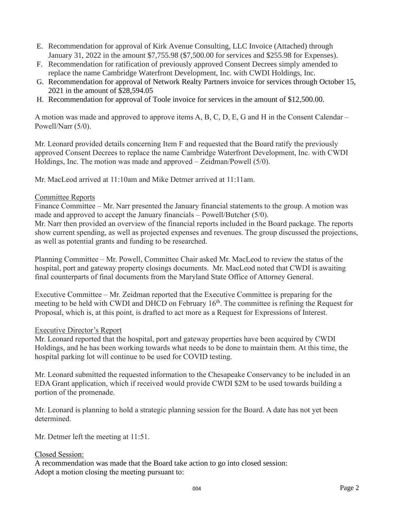- E. Recommendation for approval of Kirk Avenue Consulting, LLC Invoice (Attached) through January 31, 2022 in the amount \$7,755.98 (\$7,500.00 for services and \$255.98 for Expenses).
- F. Recommendation for ratification of previously approved Consent Decrees simply amended to replace the name Cambridge Waterfront Development, Inc. with CWDI Holdings, Inc.
- G. Recommendation for approval of Network Realty Partners invoice for services through October 15, 2021 in the amount of \$28,594.05
- H. Recommendation for approval of Toole invoice for services in the amount of \$12,500.00.

A motion was made and approved to approve items A, B, C, D, E, G and H in the Consent Calendar – Powell/Narr (5/0).

Mr. Leonard provided details concerning Item F and requested that the Board ratify the previously approved Consent Decrees to replace the name Cambridge Waterfront Development, Inc. with CWDI Holdings, Inc. The motion was made and approved – Zeidman/Powell (5/0).

Mr. MacLeod arrived at 11:10am and Mike Detmer arrived at 11:11am.

### Committee Reports

Finance Committee – Mr. Narr presented the January financial statements to the group. A motion was made and approved to accept the January financials – Powell/Butcher (5/0).

Mr. Narr then provided an overview of the financial reports included in the Board package. The reports show current spending, as well as projected expenses and revenues. The group discussed the projections, as well as potential grants and funding to be researched.

Planning Committee – Mr. Powell, Committee Chair asked Mr. MacLeod to review the status of the hospital, port and gateway property closings documents. Mr. MacLeod noted that CWDI is awaiting final counterparts of final documents from the Maryland State Office of Attorney General.

Executive Committee – Mr. Zeidman reported that the Executive Committee is preparing for the meeting to be held with CWDI and DHCD on February 16<sup>th</sup>. The committee is refining the Request for Proposal, which is, at this point, is drafted to act more as a Request for Expressions of Interest.

### Executive Director's Report

Mr. Leonard reported that the hospital, port and gateway properties have been acquired by CWDI Holdings, and he has been working towards what needs to be done to maintain them. At this time, the hospital parking lot will continue to be used for COVID testing.

Mr. Leonard submitted the requested information to the Chesapeake Conservancy to be included in an EDA Grant application, which if received would provide CWDI \$2M to be used towards building a portion of the promenade.

Mr. Leonard is planning to hold a strategic planning session for the Board. A date has not yet been determined.

Mr. Detmer left the meeting at 11:51.

### Closed Session:

A recommendation was made that the Board take action to go into closed session: Adopt a motion closing the meeting pursuant to: